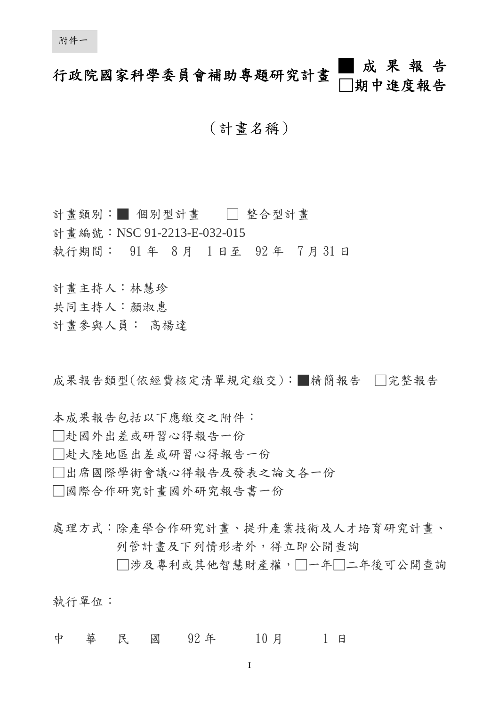# 行政院國家科學委員會補助專題研究計畫 █ 成 果 報 告 □期中進度報告

# (計畫名稱)

計書類別:■ 個別型計書 □ 整合型計書 計書編號: NSC 91-2213-E-032-015 執行期間: 91 年 8 月 1 日至 92 年 7 月 31 日

計畫主持人:林慧珍

- 共同主持人:顏淑惠
- 計畫參與人員: 高楊達

成果報告類型(依經費核定清單規定繳交):■精簡報告 □完整報告

本成果報告包括以下應繳交之附件: □赴國外出差或研習心得報告一份 □赴大陸地區出差或研習心得報告一份 □出席國際學術會議心得報告及發表之論文各一份

□國際合作研究計畫國外研究報告書一份

處理方式:除產學合作研究計畫、提升產業技術及人才培育研究計畫、 列管計畫及下列情形者外,得立即公開查詢

□涉及專利或其他智慧財產權,□一年□二年後可公開查詢

執行單位:

中 華 民 國 92年 10月 1日

I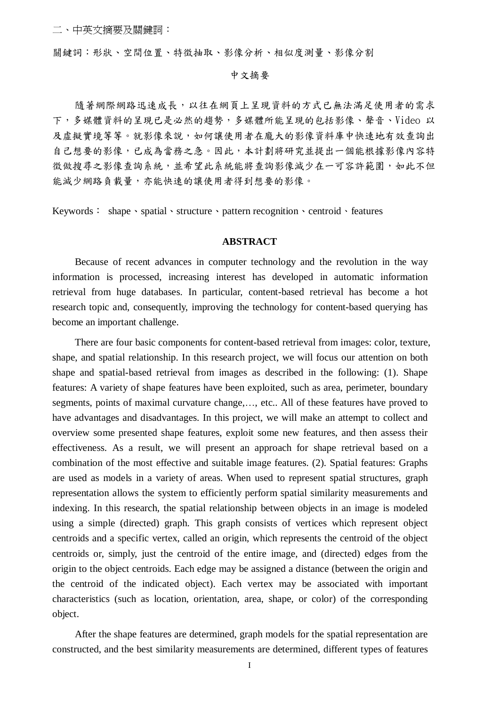關鍵詞:形狀、空間位置、特徵抽取、影像分析、相似度測量、影像分割

# 中文摘要

隨著網際網路迅速成長,以往在網頁上呈現資料的方式已無法滿足使用者的需求 下,多媒體資料的呈現已是必然的趨勢,多媒體所能呈現的包括影像、聲音、Video 以 及虛擬實境等等。就影像來說,如何讓使用者在龐大的影像資料庫中快速地有效查詢出 自己想要的影像,已成為當務之急。因此,本計劃將研究並提出一個能根據影像內容特 徵做搜尋之影像查詢系統,並希望此系統能將查詢影像減少在一可容許範圍,如此不但 能減少網路負載量,亦能快速的讓使用者得到想要的影像。

Keywords: shape、spatial、structure、pattern recognition、centroid、features

# **ABSTRACT**

Because of recent advances in computer technology and the revolution in the way information is processed, increasing interest has developed in automatic information retrieval from huge databases. In particular, content-based retrieval has become a hot research topic and, consequently, improving the technology for content-based querying has become an important challenge.

There are four basic components for content-based retrieval from images: color, texture, shape, and spatial relationship. In this research project, we will focus our attention on both shape and spatial-based retrieval from images as described in the following: (1). Shape features: A variety of shape features have been exploited, such as area, perimeter, boundary segments, points of maximal curvature change,…, etc.. All of these features have proved to have advantages and disadvantages. In this project, we will make an attempt to collect and overview some presented shape features, exploit some new features, and then assess their effectiveness. As a result, we will present an approach for shape retrieval based on a combination of the most effective and suitable image features. (2). Spatial features: Graphs are used as models in a variety of areas. When used to represent spatial structures, graph representation allows the system to efficiently perform spatial similarity measurements and indexing. In this research, the spatial relationship between objects in an image is modeled using a simple (directed) graph. This graph consists of vertices which represent object centroids and a specific vertex, called an origin, which represents the centroid of the object centroids or, simply, just the centroid of the entire image, and (directed) edges from the origin to the object centroids. Each edge may be assigned a distance (between the origin and the centroid of the indicated object). Each vertex may be associated with important characteristics (such as location, orientation, area, shape, or color) of the corresponding object.

After the shape features are determined, graph models for the spatial representation are constructed, and the best similarity measurements are determined, different types of features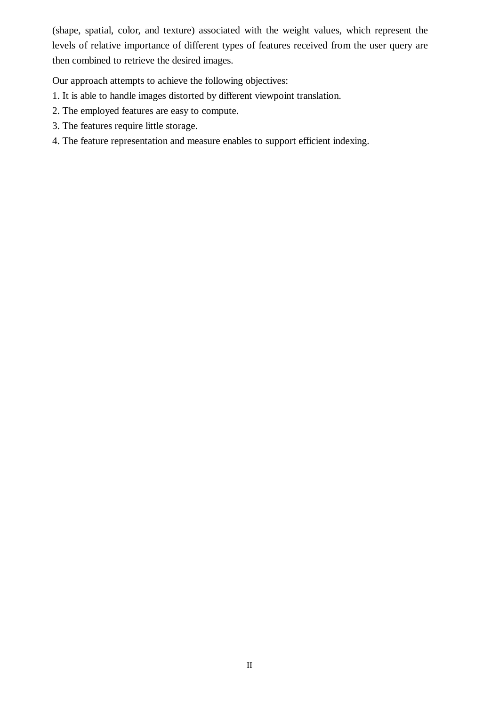(shape, spatial, color, and texture) associated with the weight values, which represent the levels of relative importance of different types of features received from the user query are then combined to retrieve the desired images.

Our approach attempts to achieve the following objectives:

- 1. It is able to handle images distorted by different viewpoint translation.
- 2. The employed features are easy to compute.
- 3. The features require little storage.
- 4. The feature representation and measure enables to support efficient indexing.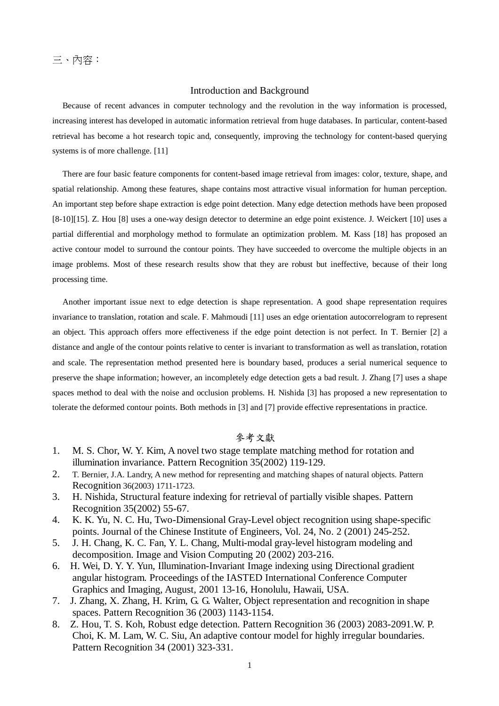# Introduction and Background

Because of recent advances in computer technology and the revolution in the way information is processed, increasing interest has developed in automatic information retrieval from huge databases. In particular, content-based retrieval has become a hot research topic and, consequently, improving the technology for content-based querying systems is of more challenge. [11]

There are four basic feature components for content-based image retrieval from images: color, texture, shape, and spatial relationship. Among these features, shape contains most attractive visual information for human perception. An important step before shape extraction is edge point detection. Many edge detection methods have been proposed [8-10][15]. Z. Hou [8] uses a one-way design detector to determine an edge point existence. J. Weickert [10] uses a partial differential and morphology method to formulate an optimization problem. M. Kass [18] has proposed an active contour model to surround the contour points. They have succeeded to overcome the multiple objects in an image problems. Most of these research results show that they are robust but ineffective, because of their long processing time.

Another important issue next to edge detection is shape representation. A good shape representation requires invariance to translation, rotation and scale. F. Mahmoudi [11] uses an edge orientation autocorrelogram to represent an object. This approach offers more effectiveness if the edge point detection is not perfect. In T. Bernier [2] a distance and angle of the contour points relative to center is invariant to transformation as well as translation, rotation and scale. The representation method presented here is boundary based, produces a serial numerical sequence to preserve the shape information; however, an incompletely edge detection gets a bad result. J. Zhang [7] uses a shape spaces method to deal with the noise and occlusion problems. H. Nishida [3] has proposed a new representation to tolerate the deformed contour points. Both methods in [3] and [7] provide effective representations in practice.

# 參考文獻

- 1. M. S. Chor, W. Y. Kim, A novel two stage template matching method for rotation and illumination invariance. Pattern Recognition 35(2002) 119-129.
- 2. T. Bernier, J.A. Landry, A new method for representing and matching shapes of natural objects. Pattern Recognition 36(2003) 1711-1723.
- 3. H. Nishida, Structural feature indexing for retrieval of partially visible shapes. Pattern Recognition 35(2002) 55-67.
- 4. K. K. Yu, N. C. Hu, Two-Dimensional Gray-Level object recognition using shape-specific points. Journal of the Chinese Institute of Engineers, Vol. 24, No. 2 (2001) 245-252.
- 5. J. H. Chang, K. C. Fan, Y. L. Chang, Multi-modal gray-level histogram modeling and decomposition. Image and Vision Computing 20 (2002) 203-216.
- 6. H. Wei, D. Y. Y. Yun, Illumination-Invariant Image indexing using Directional gradient angular histogram. Proceedings of the IASTED International Conference Computer Graphics and Imaging, August, 2001 13-16, Honolulu, Hawaii, USA.
- 7. J. Zhang, X. Zhang, H. Krim, G. G. Walter, Object representation and recognition in shape spaces. Pattern Recognition 36 (2003) 1143-1154.
- 8. Z. Hou, T. S. Koh, Robust edge detection. Pattern Recognition 36 (2003) 2083-2091.W. P. Choi, K. M. Lam, W. C. Siu, An adaptive contour model for highly irregular boundaries. Pattern Recognition 34 (2001) 323-331.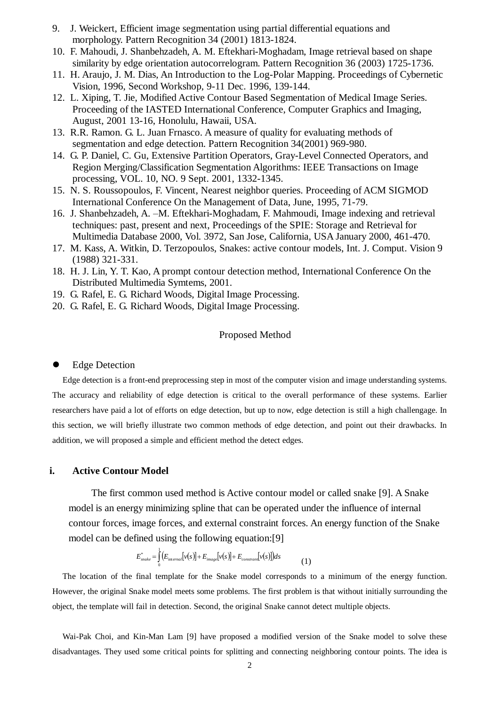- 9. J. Weickert, Efficient image segmentation using partial differential equations and morphology. Pattern Recognition 34 (2001) 1813-1824.
- 10. F. Mahoudi, J. Shanbehzadeh, A. M. Eftekhari-Moghadam, Image retrieval based on shape similarity by edge orientation autocorrelogram. Pattern Recognition 36 (2003) 1725-1736.
- 11. H. Araujo, J. M. Dias, An Introduction to the Log-Polar Mapping. Proceedings of Cybernetic Vision, 1996, Second Workshop, 9-11 Dec. 1996, 139-144.
- 12. L. Xiping, T. Jie, Modified Active Contour Based Segmentation of Medical Image Series. Proceeding of the IASTED International Conference, Computer Graphics and Imaging, August, 2001 13-16, Honolulu, Hawaii, USA.
- 13. R.R. Ramon. G. L. Juan Frnasco. A measure of quality for evaluating methods of segmentation and edge detection. Pattern Recognition 34(2001) 969-980.
- 14. G. P. Daniel, C. Gu, Extensive Partition Operators, Gray-Level Connected Operators, and Region Merging/Classification Segmentation Algorithms: IEEE Transactions on Image processing, VOL. 10, NO. 9 Sept. 2001, 1332-1345.
- 15. N. S. Roussopoulos, F. Vincent, Nearest neighbor queries. Proceeding of ACM SIGMOD International Conference On the Management of Data, June, 1995, 71-79.
- 16. J. Shanbehzadeh, A. –M. Eftekhari-Moghadam, F. Mahmoudi, Image indexing and retrieval techniques: past, present and next, Proceedings of the SPIE: Storage and Retrieval for Multimedia Database 2000, Vol. 3972, San Jose, California, USA January 2000, 461-470.
- 17. M. Kass, A. Witkin, D. Terzopoulos, Snakes: active contour models, Int. J. Comput. Vision 9 (1988) 321-331.
- 18. H. J. Lin, Y. T. Kao, A prompt contour detection method, International Conference On the Distributed Multimedia Symtems, 2001.
- 19. G. Rafel, E. G. Richard Woods, Digital Image Processing.
- 20. G. Rafel, E. G. Richard Woods, Digital Image Processing.

# Proposed Method

#### **•** Edge Detection

Edge detection is a front-end preprocessing step in most of the computer vision and image understanding systems. The accuracy and reliability of edge detection is critical to the overall performance of these systems. Earlier researchers have paid a lot of efforts on edge detection, but up to now, edge detection is still a high challengage. In this section, we will briefly illustrate two common methods of edge detection, and point out their drawbacks. In addition, we will proposed a simple and efficient method the detect edges.

# **i. Active Contour Model**

The first common used method is Active contour model or called snake [9]. A Snake model is an energy minimizing spline that can be operated under the influence of internal contour forces, image forces, and external constraint forces. An energy function of the Snake model can be defined using the following equation:[9]

$$
E_{\text{make}}^* = \int_0^1 \left( E_{\text{internal}}[v(s)] + E_{\text{image}}[v(s)] + E_{\text{constraint}}[v(s)] \right) ds \tag{1}
$$

The location of the final template for the Snake model corresponds to a minimum of the energy function. However, the original Snake model meets some problems. The first problem is that without initially surrounding the object, the template will fail in detection. Second, the original Snake cannot detect multiple objects.

Wai-Pak Choi, and Kin-Man Lam [9] have proposed a modified version of the Snake model to solve these disadvantages. They used some critical points for splitting and connecting neighboring contour points. The idea is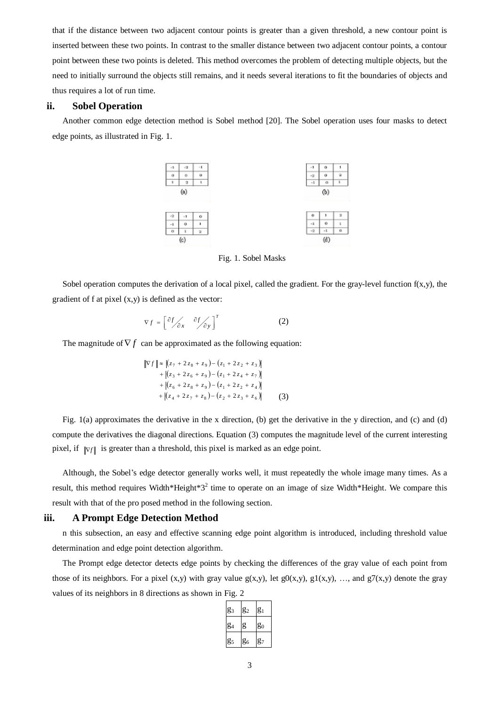that if the distance between two adjacent contour points is greater than a given threshold, a new contour point is inserted between these two points. In contrast to the smaller distance between two adjacent contour points, a contour point between these two points is deleted. This method overcomes the problem of detecting multiple objects, but the need to initially surround the objects still remains, and it needs several iterations to fit the boundaries of objects and thus requires a lot of run time.

# **ii. Sobel Operation**

Another common edge detection method is Sobel method [20]. The Sobel operation uses four masks to detect edge points, as illustrated in Fig. 1.



Fig. 1. Sobel Masks

Sobel operation computes the derivation of a local pixel, called the gradient. For the gray-level function  $f(x,y)$ , the gradient of f at pixel  $(x,y)$  is defined as the vector:

$$
\nabla f = \left[ \frac{\partial f}{\partial x} \frac{\partial f}{\partial y} \right]^T
$$
 (2)

The magnitude of  $\nabla f$  can be approximated as the following equation:

 $\nabla f \approx \left[ (z_7 + 2 z_8 + z_9) - (z_1 + 2 z_2 + z_3) \right]$  $(z_3 + 2z_6 + z_9) - (z_1 + 2z_4 + z_7)$  $(z_6 + 2z_8 + z_9) - (z_1 + 2z_2 + z_4)$  $(z_4 + 2z_7 + z_8) - (z_2 + 2z_3 + z_6)$  $6 + 228 + 297 = 21 + 222 + 24$  $_3$  + 2  $\zeta$  6 +  $\zeta$  9 J =  $\zeta$  1 + 2  $\zeta$  4 +  $\zeta$  7  $2z_7 + z_8$ ) –  $(z_2 + 2)$  $2z_8 + z_9 - (z_1 + 2)$  $2z_6 + z_9 - (z_1 + 2)$  $z_4 + 2z_7 + z_8$ ) –  $(z_2 + 2z_3 + z_4)$  $z_6 + 2z_8 + z_9$ ) –  $(z_1 + 2z_2 + z_3)$  $z_3 + 2z_6 + z_9$ ) –  $(z_1 + 2z_4 + z_7)$  $+$   $(z_4 + 2z_7 + z_8) - (z_2 + 2z_3 +$  $+$   $(z_6 + 2z_8 + z_9) - (z_1 + 2z_2 +$  $+$   $(z_3 + 2z_6 + z_9) - (z_1 + 2z_4 +$ (3)

Fig. 1(a) approximates the derivative in the x direction, (b) get the derivative in the y direction, and (c) and (d) compute the derivatives the diagonal directions. Equation (3) computes the magnitude level of the current interesting pixel, if  $\|\nabla f\|$  is greater than a threshold, this pixel is marked as an edge point.

Although, the Sobel's edge detector generally works well, it must repeatedly the whole image many times. As a result, this method requires Width\*Height\*3<sup>2</sup> time to operate on an image of size Width\*Height. We compare this result with that of the pro posed method in the following section.

### **iii. A Prompt Edge Detection Method**

n this subsection, an easy and effective scanning edge point algorithm is introduced, including threshold value determination and edge point detection algorithm.

The Prompt edge detector detects edge points by checking the differences of the gray value of each point from those of its neighbors. For a pixel (x,y) with gray value  $g(x,y)$ , let  $g(0(x,y), g1(x,y), \ldots$ , and  $g7(x,y)$  denote the gray values of its neighbors in 8 directions as shown in Fig. 2

| $g_3$<br>g <sub>1</sub><br>$g_2$ |  |  |  |
|----------------------------------|--|--|--|
| g<br>$g_4$<br>$g_0$              |  |  |  |
| g <sub>5</sub><br>$g_6$<br>$g_7$ |  |  |  |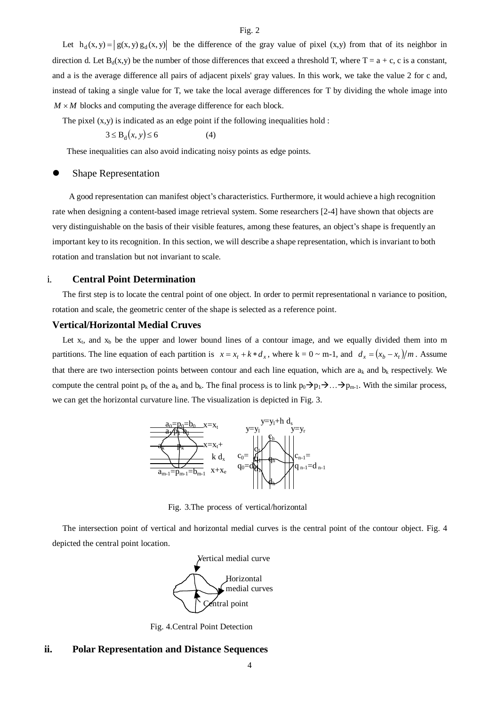Let  $h_d(x, y) = |g(x, y) g_d(x, y)|$  be the difference of the gray value of pixel  $(x,y)$  from that of its neighbor in direction d. Let  $B_d(x,y)$  be the number of those differences that exceed a threshold T, where  $T = a + c$ , c is a constant, and a is the average difference all pairs of adjacent pixels' gray values. In this work, we take the value 2 for c and, instead of taking a single value for T, we take the local average differences for T by dividing the whole image into  $M \times M$  blocks and computing the average difference for each block.

The pixel  $(x,y)$  is indicated as an edge point if the following inequalities hold :

$$
3 \le B_d(x, y) \le 6 \tag{4}
$$

These inequalities can also avoid indicating noisy points as edge points.

#### Shape Representation

A good representation can manifest object's characteristics. Furthermore, it would achieve a high recognition rate when designing a content-based image retrieval system. Some researchers [2-4] have shown that objects are very distinguishable on the basis of their visible features, among these features, an object's shape is frequently an important key to its recognition. In this section, we will describe a shape representation, which is invariant to both rotation and translation but not invariant to scale.

#### i. **Central Point Determination**

The first step is to locate the central point of one object. In order to permit representational n variance to position, rotation and scale, the geometric center of the shape is selected as a reference point.

# **Vertical/Horizontal Medial Cruves**

Let  $x_t$ , and  $x_b$  be the upper and lower bound lines of a contour image, and we equally divided them into m partitions. The line equation of each partition is  $x = x_t + k * d_x$ , where  $k = 0 \sim m-1$ , and  $d_x = (x_b - x_t)/m$ . Assume that there are two intersection points between contour and each line equation, which are  $a_k$  and  $b_k$  respectively. We compute the central point  $p_k$  of the  $a_k$  and  $b_k$ . The final process is to link  $p_0 \rightarrow p_1 \rightarrow \ldots \rightarrow p_{m-1}$ . With the similar process, we can get the horizontal curvature line. The visualization is depicted in Fig. 3.



Fig. 3.The process of vertical/horizontal

The intersection point of vertical and horizontal medial curves is the central point of the contour object. Fig. 4 depicted the central point location.



Fig. 4.Central Point Detection

#### **ii. Polar Representation and Distance Sequences**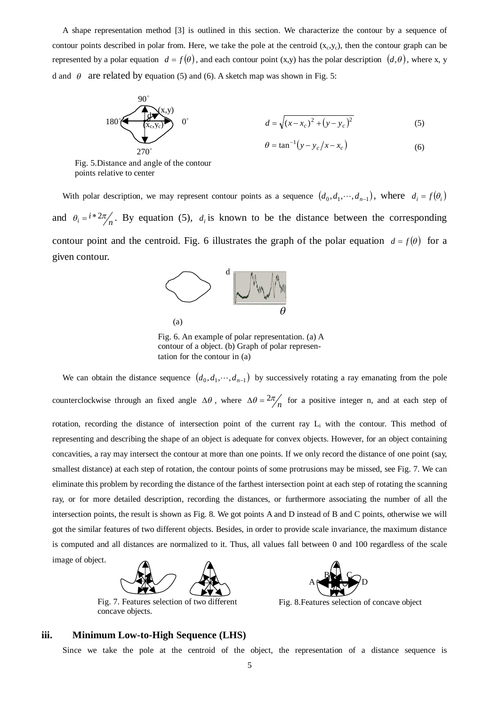A shape representation method [3] is outlined in this section. We characterize the contour by a sequence of contour points described in polar from. Here, we take the pole at the centroid  $(x_c, y_c)$ , then the contour graph can be represented by a polar equation  $d = f(\theta)$ , and each contour point (x,y) has the polar description  $(d, \theta)$ , where x, y d and  $\theta$  are related by equation (5) and (6). A sketch map was shown in Fig. 5:

180°  
\n180°  
\n
$$
\begin{array}{c}\n 90° \\
\hline\n (x, y_c) \\
\hline\n 270°\n\end{array}
$$
\n0°  
\n
$$
d = \sqrt{(x - x_c)^2 + (y - y_c)^2}
$$
\n(5)  
\n
$$
\theta = \tan^{-1}(y - y_c/x - x_c)
$$
\n(6)

Fig. 5.Distance and angle of the contour points relative to center

With polar description, we may represent contour points as a sequence  $(d_0, d_1, \dots, d_{n-1})$ , where  $d_i = f(\theta_i)$ and  $\theta_i = i * 2\pi/n$ . By equation (5),  $d_i$  is known to be the distance between the corresponding contour point and the centroid. Fig. 6 illustrates the graph of the polar equation  $d = f(\theta)$  for a given contour.



Fig. 6. An example of polar representation. (a) A contour of a object. (b) Graph of polar representation for the contour in (a)

We can obtain the distance sequence  $(d_0, d_1, \dots, d_{n-1})$  by successively rotating a ray emanating from the pole counterclockwise through an fixed angle  $\Delta\theta$ , where  $\Delta\theta = 2\pi/n$  for a positive integer n, and at each step of rotation, recording the distance of intersection point of the current ray L<sub>i</sub> with the contour. This method of representing and describing the shape of an object is adequate for convex objects. However, for an object containing concavities, a ray may intersect the contour at more than one points. If we only record the distance of one point (say, smallest distance) at each step of rotation, the contour points of some protrusions may be missed, see Fig. 7. We can eliminate this problem by recording the distance of the farthest intersection point at each step of rotating the scanning ray, or for more detailed description, recording the distances, or furthermore associating the number of all the intersection points, the result is shown as Fig. 8. We got points A and D instead of B and C points, otherwise we will got the similar features of two different objects. Besides, in order to provide scale invariance, the maximum distance is computed and all distances are normalized to it. Thus, all values fall between 0 and 100 regardless of the scale image of object.



Fig. 7. Features selection of two different concave objects.



Fig. 8.Features selection of concave object

#### **iii. Minimum Low-to-High Sequence (LHS)**

Since we take the pole at the centroid of the object, the representation of a distance sequence is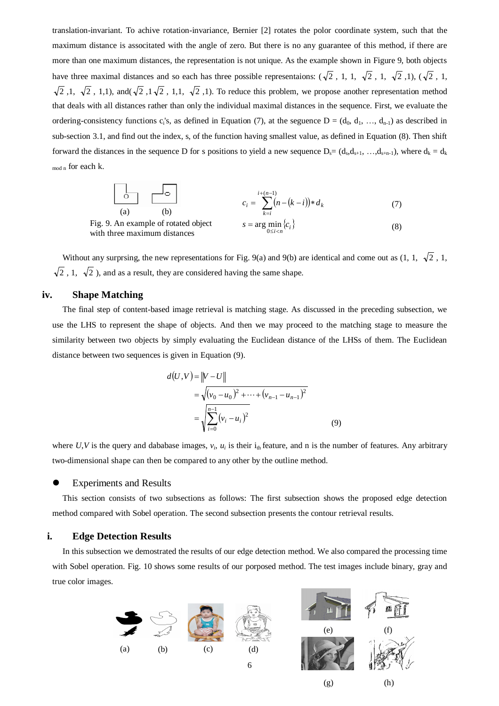translation-invariant. To achive rotation-invariance, Bernier [2] rotates the polor coordinate system, such that the maximum distance is associtated with the angle of zero. But there is no any guarantee of this method, if there are more than one maximum distances, the representation is not unique. As the example shown in Figure 9, both objects have three maximal distances and so each has three possible representaions:  $(\sqrt{2}, 1, 1, \sqrt{2}, 1, \sqrt{2}, 1), (\sqrt{2}, 1, 1)$  $\sqrt{2}$ , 1,  $\sqrt{2}$ , 1,1), and( $\sqrt{2}$ , 1, $\sqrt{2}$ , 1,1,  $\sqrt{2}$ , 1). To reduce this problem, we propose another representation method that deals with all distances rather than only the individual maximal distances in the sequence. First, we evaluate the ordering-consistency functions  $c_i$ 's, as defined in Equation (7), at the seguence  $D = (d_0, d_1, ..., d_{n-1})$  as described in sub-section 3.1, and find out the index, s, of the function having smallest value, as defined in Equation (8). Then shift forward the distances in the sequence D for s positions to yield a new sequence  $D_s = (d_s, d_{s+1}, \ldots, d_{s+n-1})$ , where  $d_k = d_k$ mod n for each k.

(a) (b)  
\n(a) (b)  
\n
$$
c_{i} = \sum_{k=i}^{i+(n-1)} (n-(k-i)) * d_{k}
$$
\n
$$
s = \arg \min_{0 \le i < n} \{c_{i}\}
$$
\n(b) (7)

Without any surprsing, the new representations for Fig. 9(a) and 9(b) are identical and come out as (1, 1,  $\sqrt{2}$ , 1,  $\sqrt{2}$ , 1,  $\sqrt{2}$ ), and as a result, they are considered having the same shape.

#### **iv. Shape Matching**

Fig.

with three maximum distances

The final step of content-based image retrieval is matching stage. As discussed in the preceding subsection, we use the LHS to represent the shape of objects. And then we may proceed to the matching stage to measure the similarity between two objects by simply evaluating the Euclidean distance of the LHSs of them. The Euclidean distance between two sequences is given in Equation (9).

$$
d(U, V) = ||V - U||
$$
  
=  $\sqrt{(v_0 - u_0)^2 + \dots + (v_{n-1} - u_{n-1})^2}$   
=  $\sqrt{\sum_{i=0}^{n-1} (v_i - u_i)^2}$  (9)

where  $U, V$  is the query and dababase images,  $v_i$ ,  $u_i$  is their  $i_{th}$  feature, and n is the number of features. Any arbitrary two-dimensional shape can then be compared to any other by the outline method.

#### Experiments and Results

This section consists of two subsections as follows: The first subsection shows the proposed edge detection method compared with Sobel operation. The second subsection presents the contour retrieval results.

# **i. Edge Detection Results**

In this subsection we demostrated the results of our edge detection method. We also compared the processing time with Sobel operation. Fig. 10 shows some results of our porposed method. The test images include binary, gray and true color images.



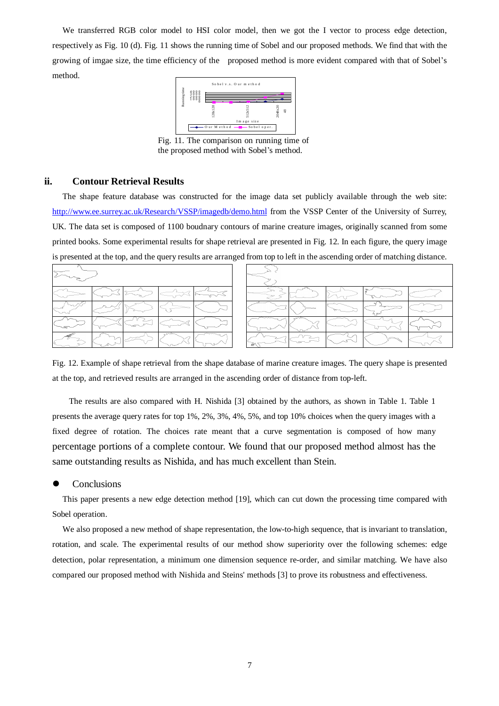We transferred RGB color model to HSI color model, then we got the I vector to process edge detection, respectively as Fig. 10 (d). Fig. 11 shows the running time of Sobel and our proposed methods. We find that with the growing of imgae size, the time efficiency of the proposed method is more evident compared with that of Sobel's method.



Fig. 11. The comparison on running time of the proposed method with Sobel's method.

# **ii. Contour Retrieval Results**

The shape feature database was constructed for the image data set publicly available through the web site: http://www.ee.surrey.ac.uk/Research/VSSP/imagedb/demo.html from the VSSP Center of the University of Surrey, UK. The data set is composed of 1100 boudnary contours of marine creature images, originally scanned from some printed books. Some experimental results for shape retrieval are presented in Fig. 12. In each figure, the query image is presented at the top, and the query results are arranged from top to left in the ascending order of matching distance.

|  |  |  |  | ____ |  |
|--|--|--|--|------|--|
|  |  |  |  |      |  |
|  |  |  |  |      |  |

Fig. 12. Example of shape retrieval from the shape database of marine creature images. The query shape is presented at the top, and retrieved results are arranged in the ascending order of distance from top-left.

The results are also compared with H. Nishida [3] obtained by the authors, as shown in Table 1. Table 1 presents the average query rates for top 1%, 2%, 3%, 4%, 5%, and top 10% choices when the query images with a fixed degree of rotation. The choices rate meant that a curve segmentation is composed of how many percentage portions of a complete contour. We found that our proposed method almost has the same outstanding results as Nishida, and has much excellent than Stein.

#### **Conclusions**

This paper presents a new edge detection method [19], which can cut down the processing time compared with Sobel operation.

We also proposed a new method of shape representation, the low-to-high sequence, that is invariant to translation, rotation, and scale. The experimental results of our method show superiority over the following schemes: edge detection, polar representation, a minimum one dimension sequence re-order, and similar matching. We have also compared our proposed method with Nishida and Steins' methods [3] to prove its robustness and effectiveness.